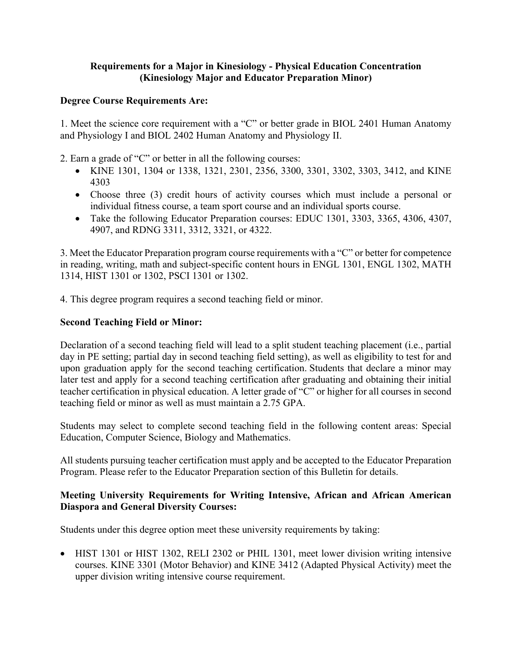### **Requirements for a Major in Kinesiology - Physical Education Concentration (Kinesiology Major and Educator Preparation Minor)**

#### **Degree Course Requirements Are:**

1. Meet the science core requirement with a "C" or better grade in BIOL 2401 Human Anatomy and Physiology I and BIOL 2402 Human Anatomy and Physiology II.

2. Earn a grade of "C" or better in all the following courses:

- KINE 1301, 1304 or 1338, 1321, 2301, 2356, 3300, 3301, 3302, 3303, 3412, and KINE 4303
- Choose three (3) credit hours of activity courses which must include a personal or individual fitness course, a team sport course and an individual sports course.
- Take the following Educator Preparation courses: EDUC 1301, 3303, 3365, 4306, 4307, 4907, and RDNG 3311, 3312, 3321, or 4322.

3. Meet the Educator Preparation program course requirements with a "C" or better for competence in reading, writing, math and subject-specific content hours in ENGL 1301, ENGL 1302, MATH 1314, HIST 1301 or 1302, PSCI 1301 or 1302.

4. This degree program requires a second teaching field or minor.

#### **Second Teaching Field or Minor:**

Declaration of a second teaching field will lead to a split student teaching placement (i.e., partial day in PE setting; partial day in second teaching field setting), as well as eligibility to test for and upon graduation apply for the second teaching certification. Students that declare a minor may later test and apply for a second teaching certification after graduating and obtaining their initial teacher certification in physical education. A letter grade of "C" or higher for all courses in second teaching field or minor as well as must maintain a 2.75 GPA.

Students may select to complete second teaching field in the following content areas: Special Education, Computer Science, Biology and Mathematics.

All students pursuing teacher certification must apply and be accepted to the Educator Preparation Program. Please refer to the Educator Preparation section of this Bulletin for details.

#### **Meeting University Requirements for Writing Intensive, African and African American Diaspora and General Diversity Courses:**

Students under this degree option meet these university requirements by taking:

• HIST 1301 or HIST 1302, RELI 2302 or PHIL 1301, meet lower division writing intensive courses. KINE 3301 (Motor Behavior) and KINE 3412 (Adapted Physical Activity) meet the upper division writing intensive course requirement.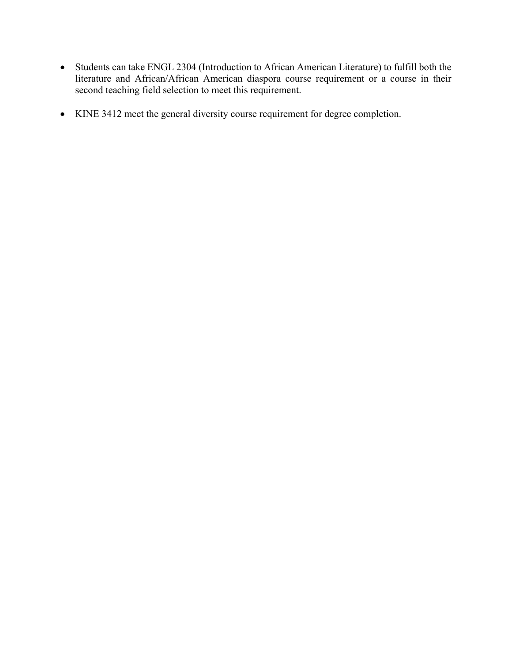- Students can take ENGL 2304 (Introduction to African American Literature) to fulfill both the literature and African/African American diaspora course requirement or a course in their second teaching field selection to meet this requirement.
- KINE 3412 meet the general diversity course requirement for degree completion.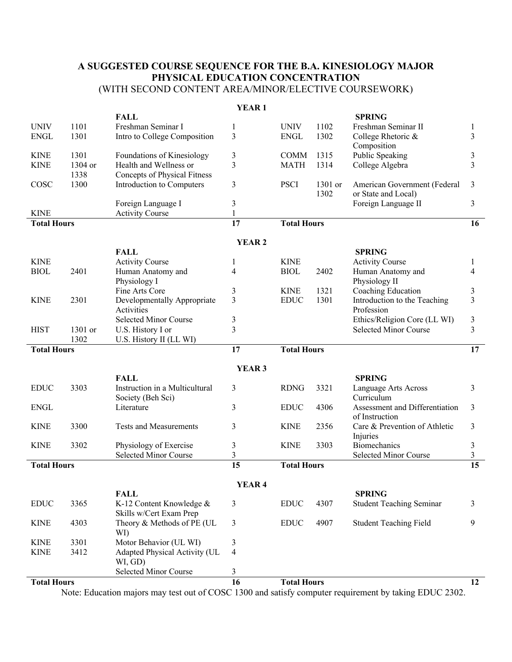## **A SUGGESTED COURSE SEQUENCE FOR THE B.A. KINESIOLOGY MAJOR PHYSICAL EDUCATION CONCENTRATION** (WITH SECOND CONTENT AREA/MINOR/ELECTIVE COURSEWORK)

|                    |         |                                         | Y LAK 1           |                    |         |                                 |                 |
|--------------------|---------|-----------------------------------------|-------------------|--------------------|---------|---------------------------------|-----------------|
|                    |         | <b>FALL</b>                             |                   |                    |         | <b>SPRING</b>                   |                 |
| <b>UNIV</b>        | 1101    | Freshman Seminar I                      | 1                 | <b>UNIV</b>        | 1102    | Freshman Seminar II             | 1               |
| <b>ENGL</b>        | 1301    | Intro to College Composition            | 3                 | <b>ENGL</b>        | 1302    | College Rhetoric &              | 3               |
|                    |         |                                         |                   |                    |         | Composition                     |                 |
| <b>KINE</b>        | 1301    | Foundations of Kinesiology              | 3                 | <b>COMM</b>        | 1315    | Public Speaking                 | 3               |
| <b>KINE</b>        | 1304 or | Health and Wellness or                  | 3                 | <b>MATH</b>        | 1314    | College Algebra                 | 3               |
|                    | 1338    | Concepts of Physical Fitness            |                   |                    |         |                                 |                 |
| COSC               | 1300    | Introduction to Computers               | 3                 | <b>PSCI</b>        | 1301 or | American Government (Federal    | 3               |
|                    |         |                                         |                   |                    | 1302    | or State and Local)             |                 |
|                    |         | Foreign Language I                      | 3                 |                    |         | Foreign Language II             | 3               |
| <b>KINE</b>        |         | <b>Activity Course</b>                  | $\mathbf{1}$      |                    |         |                                 |                 |
| <b>Total Hours</b> |         |                                         | $\overline{17}$   | <b>Total Hours</b> |         |                                 | 16              |
|                    |         |                                         |                   |                    |         |                                 |                 |
|                    |         |                                         | <b>YEAR 2</b>     |                    |         |                                 |                 |
|                    |         | <b>FALL</b>                             |                   |                    |         | <b>SPRING</b>                   |                 |
|                    |         |                                         |                   |                    |         |                                 |                 |
| <b>KINE</b>        |         | <b>Activity Course</b>                  | 1                 | <b>KINE</b>        |         | <b>Activity Course</b>          | 1               |
| <b>BIOL</b>        | 2401    | Human Anatomy and                       | 4                 | <b>BIOL</b>        | 2402    | Human Anatomy and               | 4               |
|                    |         | Physiology I                            |                   |                    |         | Physiology II                   |                 |
|                    |         | Fine Arts Core                          | 3                 | <b>KINE</b>        | 1321    | Coaching Education              | 3               |
| <b>KINE</b>        | 2301    | Developmentally Appropriate             | 3                 | <b>EDUC</b>        | 1301    | Introduction to the Teaching    | 3               |
|                    |         | Activities                              |                   |                    |         | Profession                      |                 |
|                    |         | <b>Selected Minor Course</b>            | 3                 |                    |         | Ethics/Religion Core (LL WI)    | 3               |
| <b>HIST</b>        | 1301 or | U.S. History I or                       | 3                 |                    |         | Selected Minor Course           | 3               |
|                    | 1302    | U.S. History II (LL WI)                 |                   |                    |         |                                 |                 |
| <b>Total Hours</b> |         |                                         | 17                | <b>Total Hours</b> |         |                                 | 17              |
|                    |         |                                         |                   |                    |         |                                 |                 |
|                    |         |                                         | YEAR <sub>3</sub> |                    |         |                                 |                 |
|                    |         | <b>FALL</b>                             |                   |                    |         | <b>SPRING</b>                   |                 |
| <b>EDUC</b>        | 3303    | Instruction in a Multicultural          | 3                 | <b>RDNG</b>        | 3321    | Language Arts Across            | 3               |
|                    |         | Society (Beh Sci)                       |                   |                    |         | Curriculum                      |                 |
| <b>ENGL</b>        |         | Literature                              | 3                 | <b>EDUC</b>        | 4306    | Assessment and Differentiation  | 3               |
|                    |         |                                         |                   |                    |         | of Instruction                  |                 |
| <b>KINE</b>        | 3300    | <b>Tests and Measurements</b>           | 3                 | <b>KINE</b>        | 2356    | Care & Prevention of Athletic   | 3               |
|                    |         |                                         |                   |                    |         | Injuries                        |                 |
| <b>KINE</b>        | 3302    | Physiology of Exercise                  | 3                 | <b>KINE</b>        | 3303    | <b>Biomechanics</b>             | 3               |
|                    |         | Selected Minor Course                   | 3                 |                    |         | Selected Minor Course           | 3               |
| <b>Total Hours</b> |         |                                         | $\overline{15}$   | <b>Total Hours</b> |         |                                 | $\overline{15}$ |
|                    |         |                                         |                   |                    |         |                                 |                 |
|                    |         |                                         | <b>YEAR 4</b>     |                    |         |                                 |                 |
|                    |         | <b>FALL</b>                             |                   |                    |         | <b>SPRING</b>                   |                 |
| <b>EDUC</b>        | 3365    | K-12 Content Knowledge &                | 3                 | <b>EDUC</b>        | 4307    | <b>Student Teaching Seminar</b> | 3               |
|                    |         | Skills w/Cert Exam Prep                 |                   |                    |         |                                 |                 |
| <b>KINE</b>        | 4303    | Theory & Methods of PE (UL              | 3                 | <b>EDUC</b>        | 4907    | <b>Student Teaching Field</b>   | 9               |
|                    |         | WI)                                     |                   |                    |         |                                 |                 |
| <b>KINE</b>        | 3301    | Motor Behavior (UL WI)                  | 3                 |                    |         |                                 |                 |
|                    | 3412    |                                         | 4                 |                    |         |                                 |                 |
| <b>KINE</b>        |         | Adapted Physical Activity (UL           |                   |                    |         |                                 |                 |
|                    |         | WI, GD)<br><b>Selected Minor Course</b> |                   |                    |         |                                 |                 |
|                    |         |                                         | 3                 |                    |         |                                 |                 |
| <b>Total Hours</b> |         |                                         | 16                | <b>Total Hours</b> |         |                                 | 12              |

**YEAR 1**

Note: Education majors may test out of COSC 1300 and satisfy computer requirement by taking EDUC 2302.